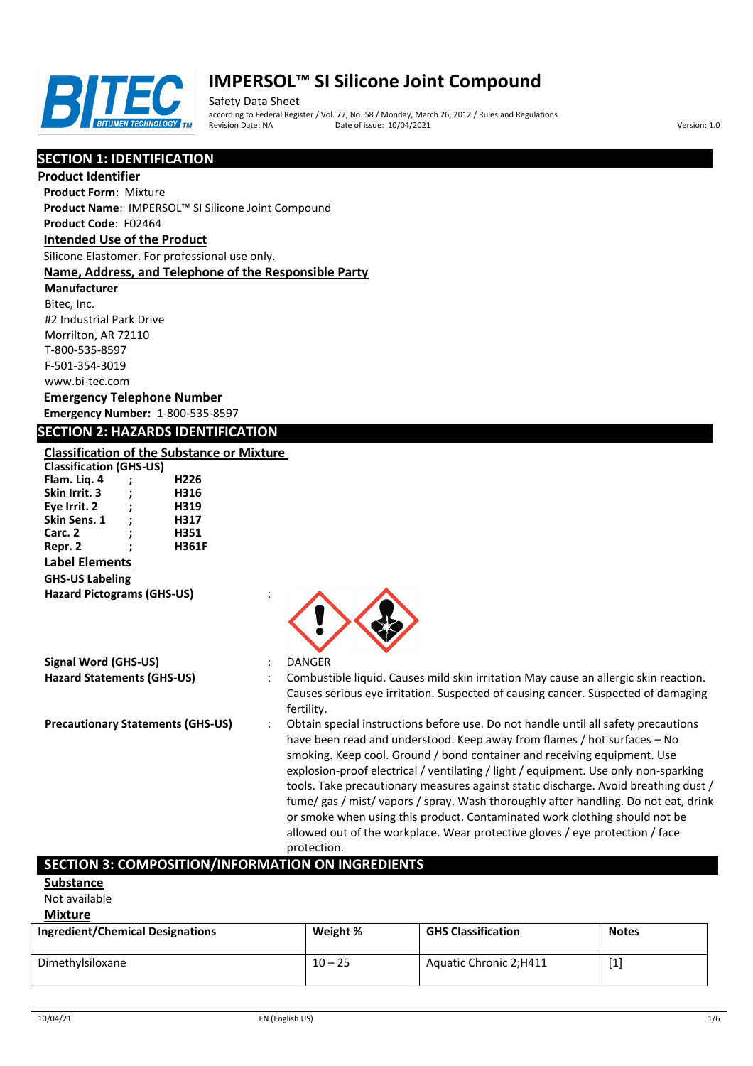

Safety Data Sheet according to Federal Register / Vol. 77, No. 58 / Monday, March 26, 2012 / Rules and Regulations Pate of issue: 10/04/2021 **Version: 1.0** 

# **SECTION 1: IDENTIFICATION**

**Product Identifier**

**Product Form**: Mixture

**Product Name**: IMPERSOL™ SI Silicone Joint Compound

# **Product Code**: F02464

# **Intended Use of the Product**

Silicone Elastomer. For professional use only.

#### **Name, Address, and Telephone of the Responsible Party**

**Manufacturer** Bitec, Inc. #2 Industrial Park Drive Morrilton, AR 72110 T-800-535-8597 F-501-354-3019 www.bi-tec.com

# **Emergency Telephone Number**

**Emergency Number:** 1-800-535-8597

## **SECTION 2: HAZARDS IDENTIFICATION**

## **Classification of the Substance or Mixture**

| <b>Classification (GHS-US)</b>    |   |              |  |
|-----------------------------------|---|--------------|--|
| Flam. Lig. 4                      | : | H226         |  |
| Skin Irrit. 3                     | : | H316         |  |
| Eye Irrit. 2                      | ÷ | H319         |  |
| Skin Sens. 1                      | ÷ | H317         |  |
| Carc. 2                           | ; | H351         |  |
| Repr. 2                           | : | <b>H361F</b> |  |
| <b>Label Elements</b>             |   |              |  |
| <b>GHS-US Labeling</b>            |   |              |  |
| <b>Hazard Pictograms (GHS-US)</b> |   |              |  |



## **Signal Word (GHS-US)** : DANGER

- **Hazard Statements (GHS-US)** : Combustible liquid. Causes mild skin irritation May cause an allergic skin reaction. Causes serious eye irritation. Suspected of causing cancer. Suspected of damaging fertility.
- **Precautionary Statements (GHS-US)** : Obtain special instructions before use. Do not handle until all safety precautions have been read and understood. Keep away from flames / hot surfaces – No smoking. Keep cool. Ground / bond container and receiving equipment. Use explosion-proof electrical / ventilating / light / equipment. Use only non-sparking tools. Take precautionary measures against static discharge. Avoid breathing dust / fume/ gas / mist/ vapors / spray. Wash thoroughly after handling. Do not eat, drink or smoke when using this product. Contaminated work clothing should not be allowed out of the workplace. Wear protective gloves / eye protection / face protection.

# **SECTION 3: COMPOSITION/INFORMATION ON INGREDIENTS**

# **Substance**

Not available

## **Mixture**

| <b>Ingredient/Chemical Designations</b> | Weight %  | <b>GHS Classification</b> | <b>Notes</b>                                                                                                                                                                                                                                                                                                      |
|-----------------------------------------|-----------|---------------------------|-------------------------------------------------------------------------------------------------------------------------------------------------------------------------------------------------------------------------------------------------------------------------------------------------------------------|
| Dimethylsiloxane                        | $10 - 25$ | Aquatic Chronic 2;H411    | $[1] % \includegraphics[width=0.9\columnwidth]{figures/fig_1a} \caption{The figure shows the number of times, and the number of times, and the number of times, and the number of times, are indicated with the number of times, and the number of times, are indicated with the number of times.} \label{fig:2}$ |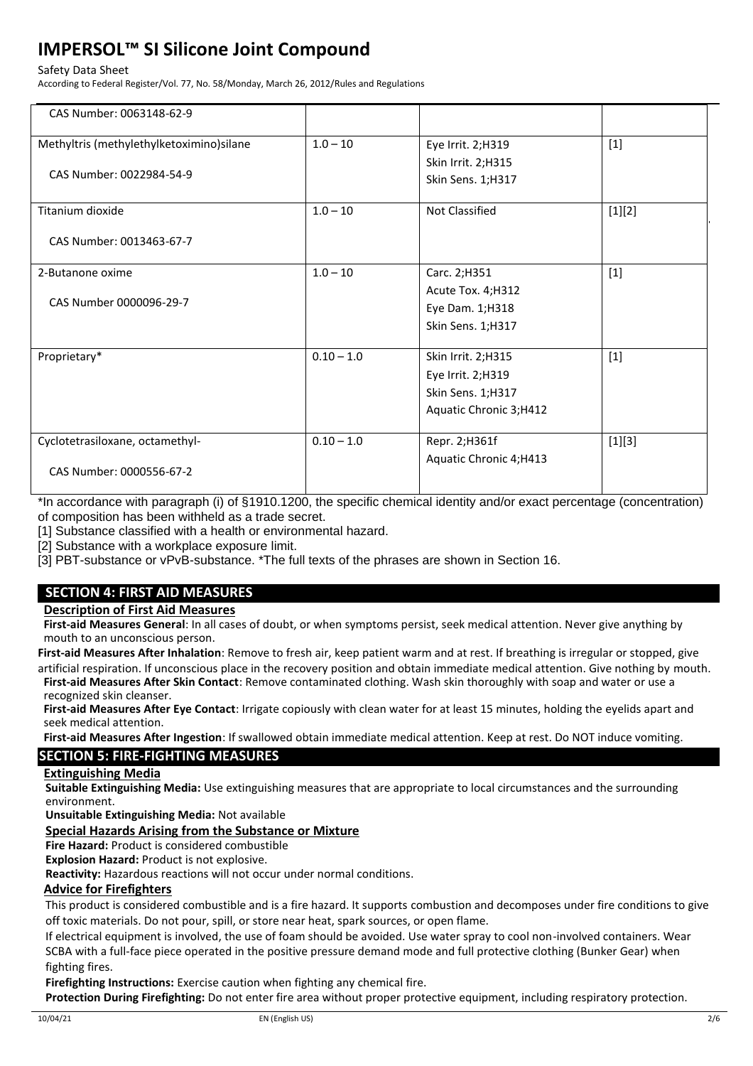#### Safety Data Sheet

According to Federal Register/Vol. 77, No. 58/Monday, March 26, 2012/Rules and Regulations

| CAS Number: 0063148-62-9                 |              |                        |          |
|------------------------------------------|--------------|------------------------|----------|
| Methyltris (methylethylketoximino)silane | $1.0 - 10$   | Eye Irrit. 2;H319      | $[1]$    |
|                                          |              | Skin Irrit. 2;H315     |          |
| CAS Number: 0022984-54-9                 |              | Skin Sens. 1;H317      |          |
| Titanium dioxide                         | $1.0 - 10$   | Not Classified         | [1][2]   |
| CAS Number: 0013463-67-7                 |              |                        |          |
| 2-Butanone oxime                         | $1.0 - 10$   | Carc. 2;H351           | $[1]$    |
|                                          |              | Acute Tox. 4; H312     |          |
| CAS Number 0000096-29-7                  |              | Eye Dam. 1;H318        |          |
|                                          |              | Skin Sens. 1;H317      |          |
| Proprietary*                             | $0.10 - 1.0$ | Skin Irrit. 2;H315     | $[1]$    |
|                                          |              | Eye Irrit. 2;H319      |          |
|                                          |              | Skin Sens. 1;H317      |          |
|                                          |              | Aquatic Chronic 3;H412 |          |
| Cyclotetrasiloxane, octamethyl-          | $0.10 - 1.0$ | Repr. 2; H361f         | $[1][3]$ |
|                                          |              | Aquatic Chronic 4;H413 |          |
| CAS Number: 0000556-67-2                 |              |                        |          |

\*In accordance with paragraph (i) of §1910.1200, the specific chemical identity and/or exact percentage (concentration) of composition has been withheld as a trade secret.

[1] Substance classified with a health or environmental hazard.

[2] Substance with a workplace exposure limit.

[3] PBT-substance or vPvB-substance. \*The full texts of the phrases are shown in Section 16.

# **SECTION 4: FIRST AID MEASURES**

**Description of First Aid Measures**

**First-aid Measures General**: In all cases of doubt, or when symptoms persist, seek medical attention. Never give anything by mouth to an unconscious person.

**First-aid Measures After Inhalation**: Remove to fresh air, keep patient warm and at rest. If breathing is irregular or stopped, give artificial respiration. If unconscious place in the recovery position and obtain immediate medical attention. Give nothing by mouth. **First-aid Measures After Skin Contact**: Remove contaminated clothing. Wash skin thoroughly with soap and water or use a

recognized skin cleanser. **First-aid Measures After Eye Contact**: Irrigate copiously with clean water for at least 15 minutes, holding the eyelids apart and seek medical attention.

**First-aid Measures After Ingestion**: If swallowed obtain immediate medical attention. Keep at rest. Do NOT induce vomiting.

# **SECTION 5: FIRE-FIGHTING MEASURES**

#### **Extinguishing Media**

**Suitable Extinguishing Media:** Use extinguishing measures that are appropriate to local circumstances and the surrounding environment.

**Unsuitable Extinguishing Media:** Not available

## **Special Hazards Arising from the Substance or Mixture**

**Fire Hazard:** Product is considered combustible

**Explosion Hazard:** Product is not explosive.

**Reactivity:** Hazardous reactions will not occur under normal conditions.

#### **Advice for Firefighters**

This product is considered combustible and is a fire hazard. It supports combustion and decomposes under fire conditions to give off toxic materials. Do not pour, spill, or store near heat, spark sources, or open flame.

If electrical equipment is involved, the use of foam should be avoided. Use water spray to cool non-involved containers. Wear SCBA with a full-face piece operated in the positive pressure demand mode and full protective clothing (Bunker Gear) when fighting fires.

**Firefighting Instructions:** Exercise caution when fighting any chemical fire.

**Protection During Firefighting:** Do not enter fire area without proper protective equipment, including respiratory protection.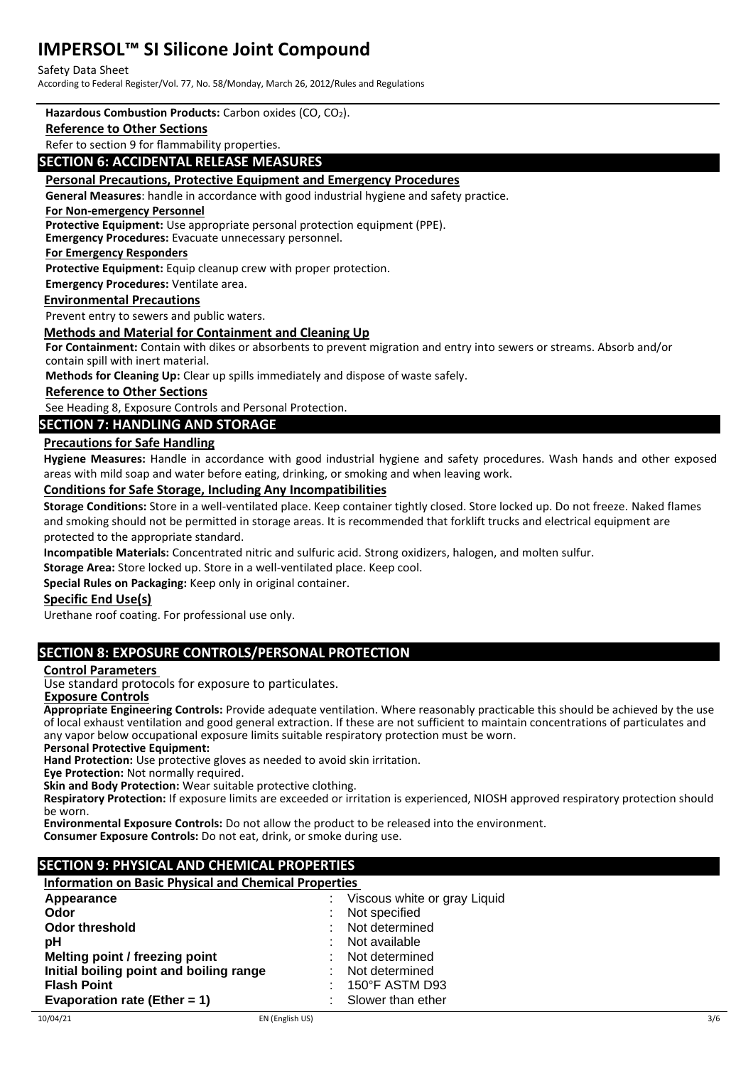#### Safety Data Sheet

According to Federal Register/Vol. 77, No. 58/Monday, March 26, 2012/Rules and Regulations

#### **Hazardous Combustion Products:** Carbon oxides (CO, CO2).

#### **Reference to Other Sections**

Refer to section 9 for flammability properties.

### **SECTION 6: ACCIDENTAL RELEASE MEASURES**

#### **Personal Precautions, Protective Equipment and Emergency Procedures**

**General Measures**: handle in accordance with good industrial hygiene and safety practice.

#### **For Non-emergency Personnel**

**Protective Equipment:** Use appropriate personal protection equipment (PPE).

**Emergency Procedures:** Evacuate unnecessary personnel.

**For Emergency Responders**

**Protective Equipment:** Equip cleanup crew with proper protection.

**Emergency Procedures:** Ventilate area.

#### **Environmental Precautions**

Prevent entry to sewers and public waters.

#### **Methods and Material for Containment and Cleaning Up**

**For Containment:** Contain with dikes or absorbents to prevent migration and entry into sewers or streams. Absorb and/or contain spill with inert material.

**Methods for Cleaning Up:** Clear up spills immediately and dispose of waste safely.

#### **Reference to Other Sections**

See Heading 8, Exposure Controls and Personal Protection.

## **SECTION 7: HANDLING AND STORAGE**

#### **Precautions for Safe Handling**

**Hygiene Measures:** Handle in accordance with good industrial hygiene and safety procedures. Wash hands and other exposed areas with mild soap and water before eating, drinking, or smoking and when leaving work.

#### **Conditions for Safe Storage, Including Any Incompatibilities**

**Storage Conditions:** Store in a well-ventilated place. Keep container tightly closed. Store locked up. Do not freeze. Naked flames and smoking should not be permitted in storage areas. It is recommended that forklift trucks and electrical equipment are protected to the appropriate standard.

**Incompatible Materials:** Concentrated nitric and sulfuric acid. Strong oxidizers, halogen, and molten sulfur.

**Storage Area:** Store locked up. Store in a well-ventilated place. Keep cool.

**Special Rules on Packaging:** Keep only in original container.

#### **Specific End Use(s)**

Urethane roof coating. For professional use only.

## **SECTION 8: EXPOSURE CONTROLS/PERSONAL PROTECTION**

#### **Control Parameters**

Use standard protocols for exposure to particulates.

 **Exposure Controls**

**Appropriate Engineering Controls:** Provide adequate ventilation. Where reasonably practicable this should be achieved by the use of local exhaust ventilation and good general extraction. If these are not sufficient to maintain concentrations of particulates and any vapor below occupational exposure limits suitable respiratory protection must be worn.

**Personal Protective Equipment:**

**Hand Protection:** Use protective gloves as needed to avoid skin irritation.

**Eye Protection:** Not normally required.

**Skin and Body Protection:** Wear suitable protective clothing.

**Respiratory Protection:** If exposure limits are exceeded or irritation is experienced, NIOSH approved respiratory protection should be worn.

**Environmental Exposure Controls:** Do not allow the product to be released into the environment.

**Consumer Exposure Controls:** Do not eat, drink, or smoke during use.

## **SECTION 9: PHYSICAL AND CHEMICAL PROPERTIES**

**Information on Basic Physical and Chemical Properties** 

| Appearance                              | : Viscous white or gray Liquid |
|-----------------------------------------|--------------------------------|
| Odor                                    | : Not specified                |
| Odor threshold                          | : Not determined               |
| рH                                      | : Not available                |
| Melting point / freezing point          | : Not determined               |
| Initial boiling point and boiling range | : Not determined               |
| <b>Flash Point</b>                      | $: 150^{\circ}$ F ASTM D93     |
| Evaporation rate (Ether = $1$ )         | : Slower than ether            |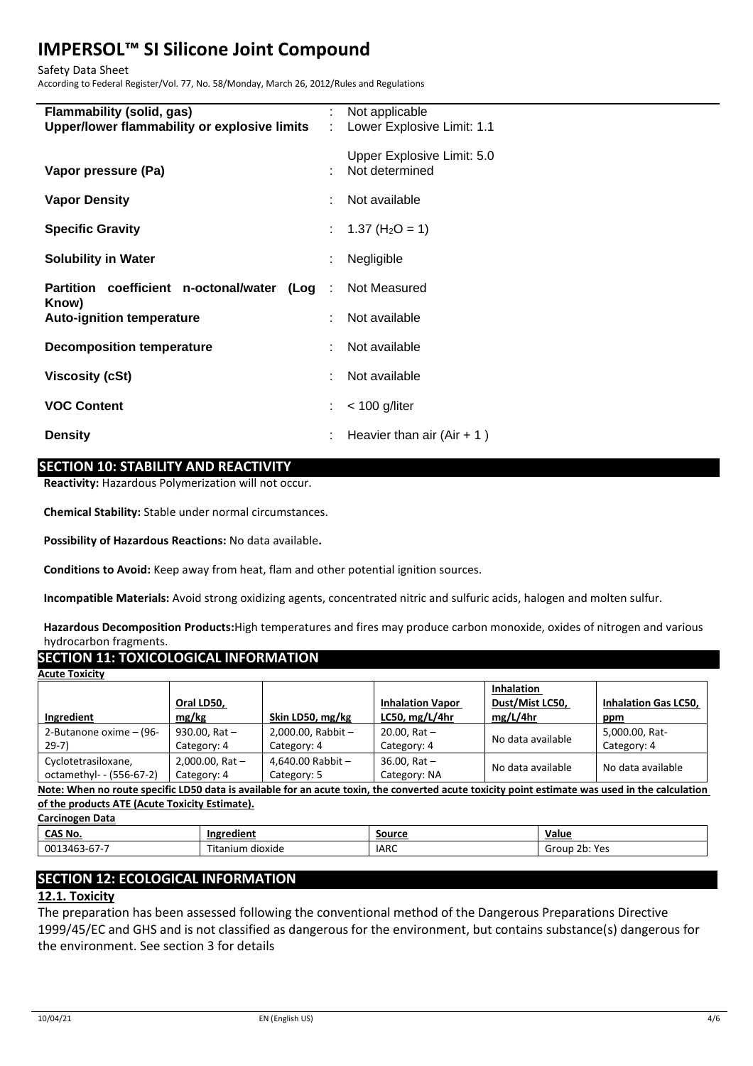Safety Data Sheet

According to Federal Register/Vol. 77, No. 58/Monday, March 26, 2012/Rules and Regulations

| Flammability (solid, gas)<br>Upper/lower flammability or explosive limits | ÷ | Not applicable<br>Lower Explosive Limit: 1.1 |
|---------------------------------------------------------------------------|---|----------------------------------------------|
| Vapor pressure (Pa)                                                       |   | Upper Explosive Limit: 5.0<br>Not determined |
| <b>Vapor Density</b>                                                      |   | Not available                                |
| <b>Specific Gravity</b>                                                   |   | : $1.37 \text{ (H}_2\text{O} = 1)$           |
| <b>Solubility in Water</b>                                                |   | Negligible                                   |
| Partition coefficient n-octonal/water (Log                                | ÷ | Not Measured                                 |
| Know)<br><b>Auto-ignition temperature</b>                                 |   | Not available                                |
| <b>Decomposition temperature</b>                                          |   | Not available                                |
| <b>Viscosity (cSt)</b>                                                    |   | Not available                                |
| <b>VOC Content</b>                                                        |   | $<$ 100 g/liter                              |
| <b>Density</b>                                                            |   | Heavier than air $(Air + 1)$                 |

# **SECTION 10: STABILITY AND REACTIVITY**

**Reactivity:** Hazardous Polymerization will not occur.

**Chemical Stability:** Stable under normal circumstances.

**Possibility of Hazardous Reactions:** No data available**.**

**Conditions to Avoid:** Keep away from heat, flam and other potential ignition sources.

**Incompatible Materials:** Avoid strong oxidizing agents, concentrated nitric and sulfuric acids, halogen and molten sulfur.

**Hazardous Decomposition Products:**High temperatures and fires may produce carbon monoxide, oxides of nitrogen and various hydrocarbon fragments.

# **SECTION 11: TOXICOLOGICAL INFORMATION**

| <b>Acute Toxicity</b>    |                      |                       |                         |                                      |                             |
|--------------------------|----------------------|-----------------------|-------------------------|--------------------------------------|-----------------------------|
|                          | Oral LD50,           |                       | <b>Inhalation Vapor</b> | <b>Inhalation</b><br>Dust/Mist LC50, | <b>Inhalation Gas LC50.</b> |
| Ingredient               | mg/kg                | Skin LD50, mg/kg      | LC50, mg/L/4hr          | mg/L/4hr                             | ppm                         |
| 2-Butanone oxime - (96-  | 930.00, Rat $-$      | $2,000.00$ , Rabbit - | $20.00.$ Rat $-$        |                                      | 5,000.00, Rat-              |
| $29-7)$                  | Category: 4          | Category: 4           | Category: 4             | No data available                    | Category: 4                 |
| Cyclotetrasiloxane,      | $2,000.00$ , Rat $-$ | 4,640.00 Rabbit $-$   | $36.00.$ Rat $-$        | No data available                    | No data available           |
| octamethyl- - (556-67-2) | Category: 4          | Category: 5           | Category: NA            |                                      |                             |

**Note: When no route specific LD50 data is available for an acute toxin, the converted acute toxicity point estimate was used in the calculation of the products ATE (Acute Toxicity Estimate).**

| <b>Carcinogen Data</b> |            |
|------------------------|------------|
| CAS No.                | Ingredient |

| CAS No.                           | Ingredient          | Source      | Value                                            |
|-----------------------------------|---------------------|-------------|--------------------------------------------------|
| $-$<br>001<br>34b.<br>3-D.<br>. . | dioxide<br>Titanium | <b>IARC</b> | <b>Yes</b><br>- אנ<br>Group<br>د ب ا<br><u>.</u> |
|                                   |                     |             |                                                  |

# **SECTION 12: ECOLOGICAL INFORMATION**

# **12.1. Toxicity**

The preparation has been assessed following the conventional method of the Dangerous Preparations Directive 1999/45/EC and GHS and is not classified as dangerous for the environment, but contains substance(s) dangerous for the environment. See section 3 for details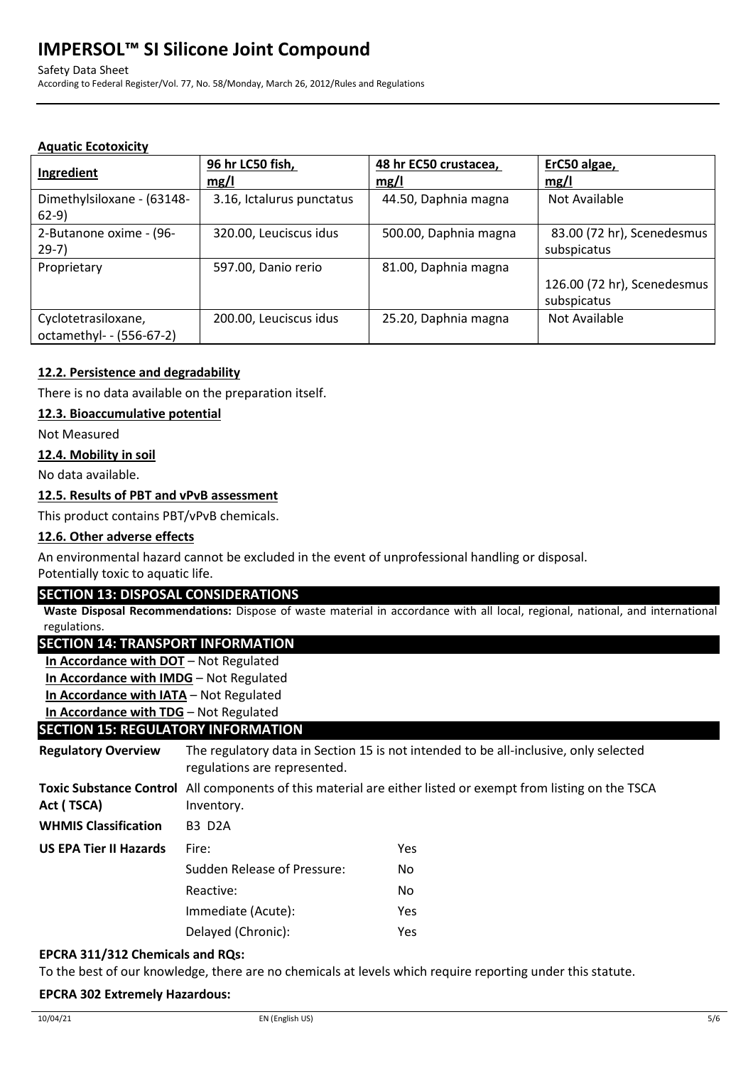Safety Data Sheet

According to Federal Register/Vol. 77, No. 58/Monday, March 26, 2012/Rules and Regulations

# **Aquatic Ecotoxicity**

| Ingredient                                      | 96 hr LC50 fish,<br>mg/l  | 48 hr EC50 crustacea,<br>mg/l | ErC50 algae,<br>mg/l                       |
|-------------------------------------------------|---------------------------|-------------------------------|--------------------------------------------|
| Dimethylsiloxane - (63148-<br>$62-9)$           | 3.16, Ictalurus punctatus | 44.50, Daphnia magna          | Not Available                              |
| 2-Butanone oxime - (96-<br>$29-7)$              | 320.00, Leuciscus idus    | 500.00, Daphnia magna         | 83.00 (72 hr), Scenedesmus<br>subspicatus  |
| Proprietary                                     | 597.00, Danio rerio       | 81.00, Daphnia magna          | 126.00 (72 hr), Scenedesmus<br>subspicatus |
| Cyclotetrasiloxane,<br>octamethyl- - (556-67-2) | 200.00, Leuciscus idus    | 25.20, Daphnia magna          | Not Available                              |

# **12.2. Persistence and degradability**

There is no data available on the preparation itself.

# **12.3. Bioaccumulative potential**

Not Measured

## **12.4. Mobility in soil**

No data available.

# **12.5. Results of PBT and vPvB assessment**

This product contains PBT/vPvB chemicals.

## **12.6. Other adverse effects**

An environmental hazard cannot be excluded in the event of unprofessional handling or disposal.

Potentially toxic to aquatic life.

## **SECTION 13: DISPOSAL CONSIDERATIONS**

**Waste Disposal Recommendations:** Dispose of waste material in accordance with all local, regional, national, and international regulations.

# **SECTION 14: TRANSPORT INFORMATION**

**In Accordance with DOT** – Not Regulated

**In Accordance with IMDG** – Not Regulated

**In Accordance with IATA** – Not Regulated

**In Accordance with TDG** – Not Regulated

# **SECTION 15: REGULATORY INFORMATION**

**Regulatory Overview** The regulatory data in Section 15 is not intended to be all-inclusive, only selected regulations are represented. **Toxic Substance Control**  All components of this material are either listed or exempt from listing on the TSCA **Act ( TSCA)** Inventory. **WHMIS Classification** B3 D2A **US EPA Tier II Hazards** Fire: Yes Sudden Release of Pressure: No Reactive: No Immediate (Acute): Yes Delayed (Chronic): Yes

## **EPCRA 311/312 Chemicals and RQs:**

To the best of our knowledge, there are no chemicals at levels which require reporting under this statute.

## **EPCRA 302 Extremely Hazardous:**